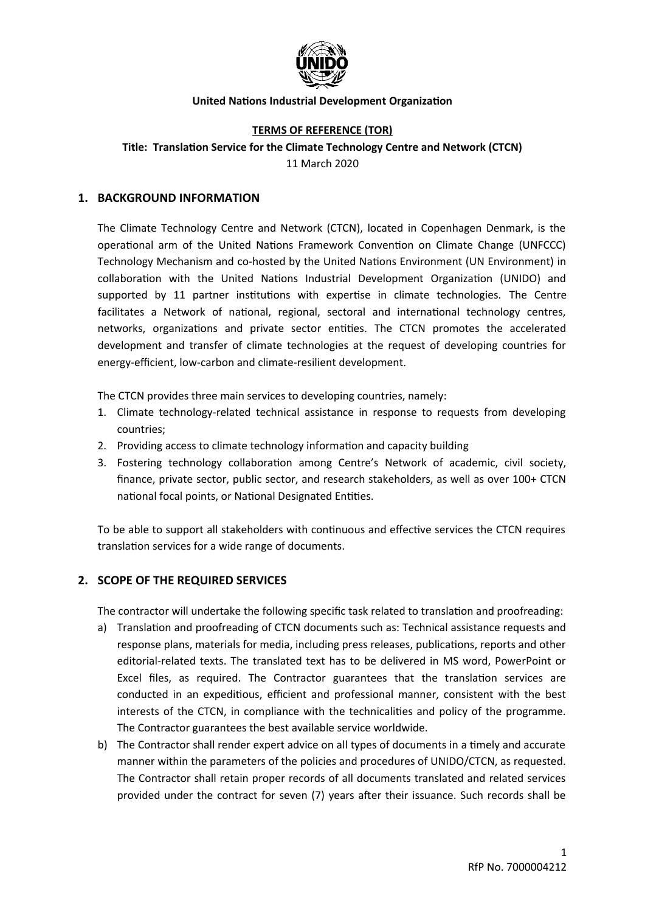

### **TERMS OF REFERENCE (TOR)**

**Title: Translation Service for the Climate Technology Centre and Network (CTCN)** 11 March 2020

#### **1. BACKGROUND INFORMATION**

The Climate Technology Centre and Network (CTCN), located in Copenhagen Denmark, is the operational arm of the United Nations Framework Convention on Climate Change (UNFCCC) Technology Mechanism and co-hosted by the United Nations Environment (UN Environment) in collaboration with the United Nations Industrial Development Organization (UNIDO) and supported by 11 partner institutions with expertise in climate technologies. The Centre facilitates a Network of national, regional, sectoral and international technology centres, networks, organizations and private sector entities. The CTCN promotes the accelerated development and transfer of climate technologies at the request of developing countries for energy-efficient, low-carbon and climate-resilient development.

The CTCN provides three main services to developing countries, namely:

- 1. Climate technology-related technical assistance in response to requests from developing countries;
- 2. Providing access to climate technology information and capacity building
- 3. Fostering technology collaboration among Centre's Network of academic, civil society, finance, private sector, public sector, and research stakeholders, as well as over 100+ CTCN national focal points, or National Designated Entities.

To be able to support all stakeholders with continuous and effective services the CTCN requires translation services for a wide range of documents.

#### **2. SCOPE OF THE REQUIRED SERVICES**

The contractor will undertake the following specific task related to translation and proofreading:

- a) Translation and proofreading of CTCN documents such as: Technical assistance requests and response plans, materials for media, including press releases, publications, reports and other editorial-related texts. The translated text has to be delivered in MS word, PowerPoint or Excel files, as required. The Contractor guarantees that the translation services are conducted in an expeditious, efficient and professional manner, consistent with the best interests of the CTCN, in compliance with the technicalities and policy of the programme. The Contractor guarantees the best available service worldwide.
- b) The Contractor shall render expert advice on all types of documents in a timely and accurate manner within the parameters of the policies and procedures of UNIDO/CTCN, as requested. The Contractor shall retain proper records of all documents translated and related services provided under the contract for seven (7) years after their issuance. Such records shall be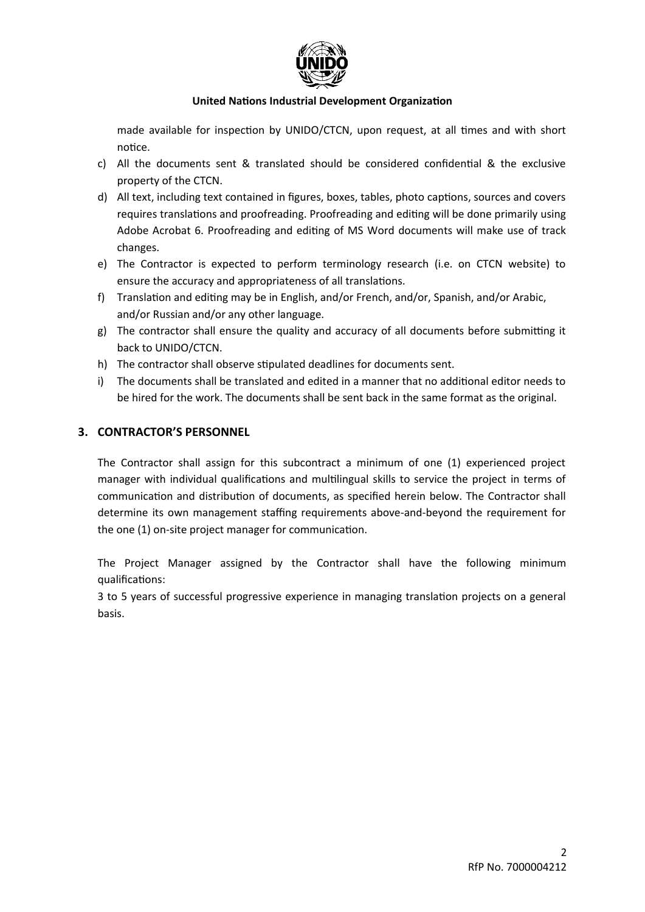

made available for inspection by UNIDO/CTCN, upon request, at all times and with short notice.

- c) All the documents sent & translated should be considered confidential & the exclusive property of the CTCN.
- d) All text, including text contained in figures, boxes, tables, photo captions, sources and covers requires translations and proofreading. Proofreading and editing will be done primarily using Adobe Acrobat 6. Proofreading and editing of MS Word documents will make use of track changes.
- e) The Contractor is expected to perform terminology research (i.e. on CTCN website) to ensure the accuracy and appropriateness of all translations.
- f) Translation and editing may be in English, and/or French, and/or, Spanish, and/or Arabic, and/or Russian and/or any other language.
- g) The contractor shall ensure the quality and accuracy of all documents before submitting it back to UNIDO/CTCN.
- h) The contractor shall observe stipulated deadlines for documents sent.
- i) The documents shall be translated and edited in a manner that no additional editor needs to be hired for the work. The documents shall be sent back in the same format as the original.

## **3. CONTRACTOR'S PERSONNEL**

The Contractor shall assign for this subcontract a minimum of one (1) experienced project manager with individual qualifications and multilingual skills to service the project in terms of communication and distribution of documents, as specified herein below. The Contractor shall determine its own management staffing requirements above-and-beyond the requirement for the one (1) on-site project manager for communication.

The Project Manager assigned by the Contractor shall have the following minimum qualifications:

3 to 5 years of successful progressive experience in managing translation projects on a general basis.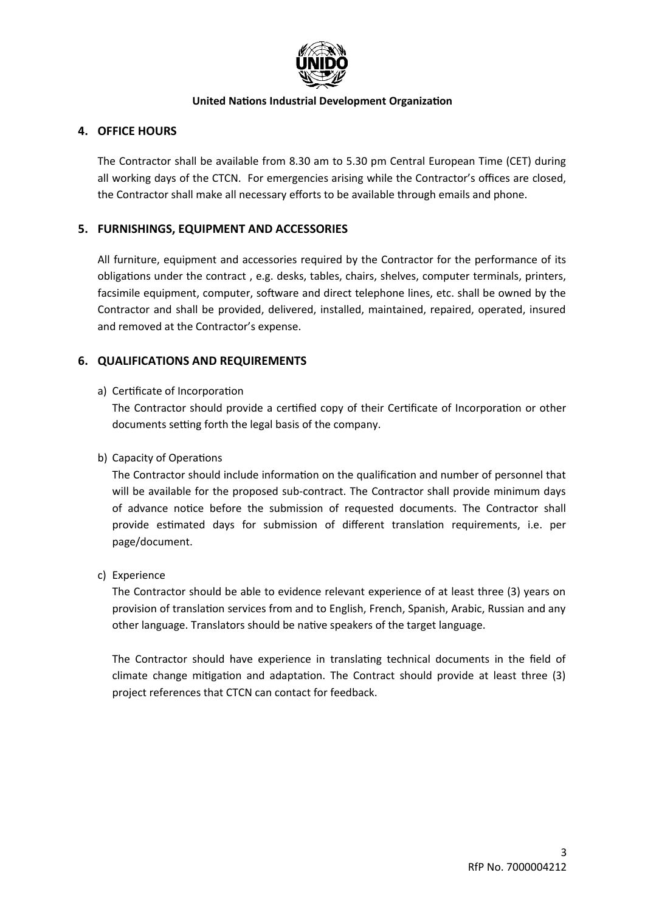

# **4. OFFICE HOURS**

The Contractor shall be available from 8.30 am to 5.30 pm Central European Time (CET) during all working days of the CTCN. For emergencies arising while the Contractor's offices are closed, the Contractor shall make all necessary efforts to be available through emails and phone.

# **5. FURNISHINGS, EQUIPMENT AND ACCESSORIES**

All furniture, equipment and accessories required by the Contractor for the performance of its obligations under the contract , e.g. desks, tables, chairs, shelves, computer terminals, printers, facsimile equipment, computer, software and direct telephone lines, etc. shall be owned by the Contractor and shall be provided, delivered, installed, maintained, repaired, operated, insured and removed at the Contractor's expense.

# **6. QUALIFICATIONS AND REQUIREMENTS**

## a) Certificate of Incorporation

The Contractor should provide a certified copy of their Certificate of Incorporation or other documents setting forth the legal basis of the company.

## b) Capacity of Operations

The Contractor should include information on the qualification and number of personnel that will be available for the proposed sub-contract. The Contractor shall provide minimum days of advance notice before the submission of requested documents. The Contractor shall provide estimated days for submission of different translation requirements, i.e. per page/document.

## c) Experience

The Contractor should be able to evidence relevant experience of at least three (3) years on provision of translation services from and to English, French, Spanish, Arabic, Russian and any other language. Translators should be native speakers of the target language.

The Contractor should have experience in translating technical documents in the field of climate change mitigation and adaptation. The Contract should provide at least three (3) project references that CTCN can contact for feedback.